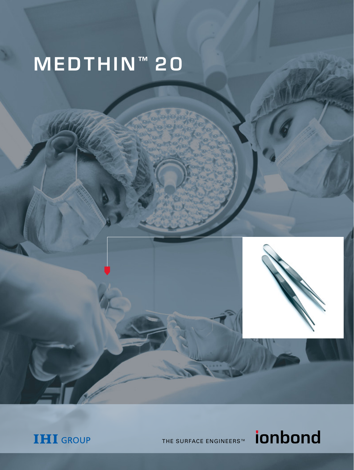# MEDTHIN<sup>™</sup> 20